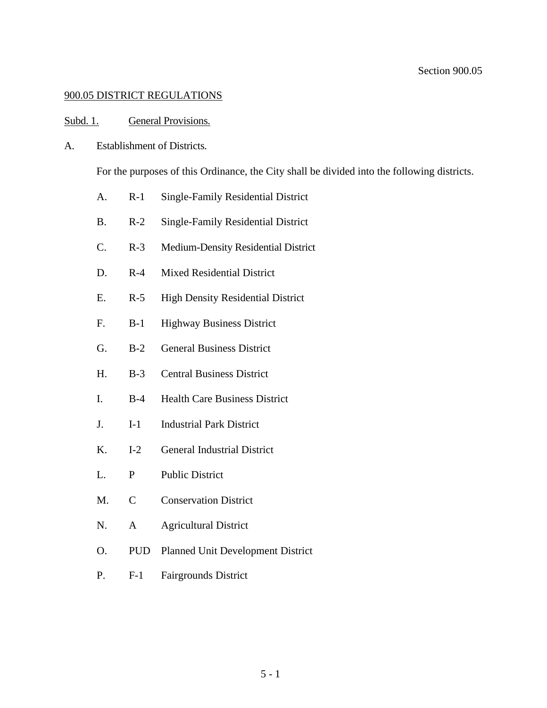## 900.05 DISTRICT REGULATIONS

#### Subd. 1. General Provisions.

A. Establishment of Districts.

For the purposes of this Ordinance, the City shall be divided into the following districts.

- A. R-1 Single-Family Residential District
- B. R-2 Single-Family Residential District
- C. R-3 Medium-Density Residential District
- D. R-4 Mixed Residential District
- E. R-5 High Density Residential District
- F. B-1 Highway Business District
- G. B-2 General Business District
- H. B-3 Central Business District
- I. B-4 Health Care Business District
- J. I-1 Industrial Park District
- K. I-2 General Industrial District
- L. P Public District
- M. C Conservation District
- N. A Agricultural District
- O. PUD Planned Unit Development District
- P. F-1 Fairgrounds District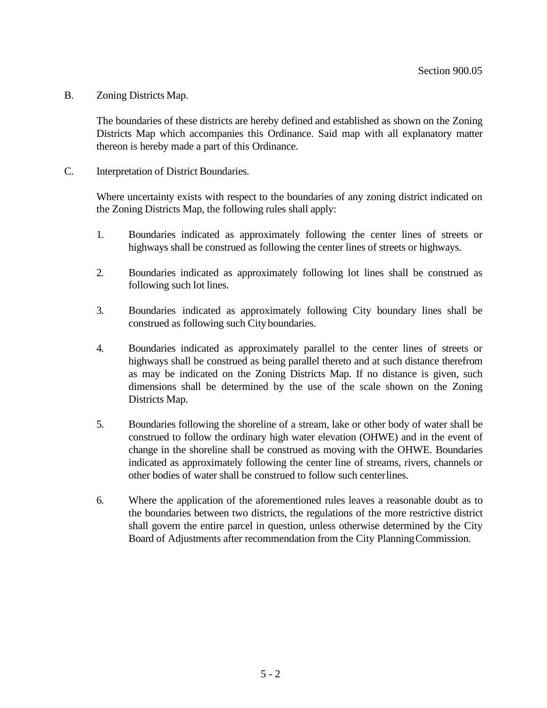B. Zoning Districts Map.

The boundaries of these districts are hereby defined and established as shown on the Zoning Districts Map which accompanies this Ordinance. Said map with all explanatory matter thereon is hereby made a part of this Ordinance.

C. Interpretation of District Boundaries.

Where uncertainty exists with respect to the boundaries of any zoning district indicated on the Zoning Districts Map, the following rules shall apply:

- 1. Boundaries indicated as approximately following the center lines of streets or highways shall be construed as following the center lines of streets or highways.
- 2. Boundaries indicated as approximately following lot lines shall be construed as following such lot lines.
- 3. Boundaries indicated as approximately following City boundary lines shall be construed as following such City boundaries.
- 4. Boundaries indicated as approximately parallel to the center lines of streets or highways shall be construed as being parallel thereto and at such distance therefrom as may be indicated on the Zoning Districts Map. If no distance is given, such dimensions shall be determined by the use of the scale shown on the Zoning Districts Map.
- 5. Boundaries following the shoreline of a stream, lake or other body of water shall be construed to follow the ordinary high water elevation (OHWE) and in the event of change in the shoreline shall be construed as moving with the OHWE. Boundaries indicated as approximately following the center line of streams, rivers, channels or other bodies of water shall be construed to follow such centerlines.
- 6. Where the application of the aforementioned rules leaves a reasonable doubt as to the boundaries between two districts, the regulations of the more restrictive district shall govern the entire parcel in question, unless otherwise determined by the City Board of Adjustments after recommendation from the City PlanningCommission.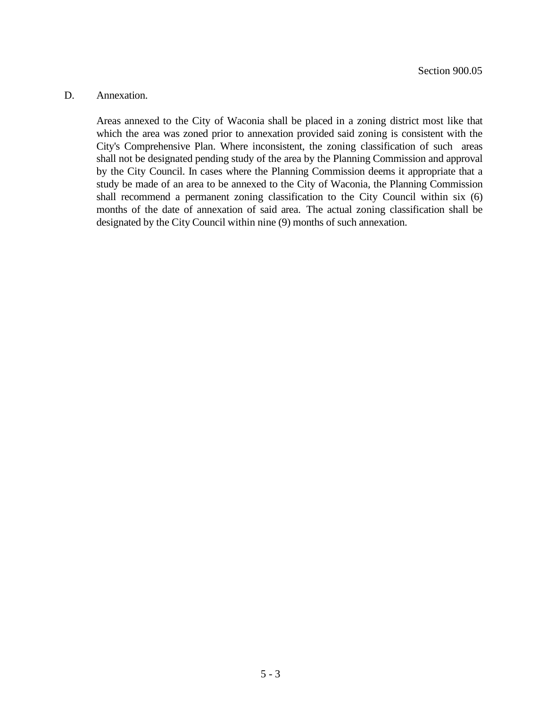#### D. Annexation.

Areas annexed to the City of Waconia shall be placed in a zoning district most like that which the area was zoned prior to annexation provided said zoning is consistent with the City's Comprehensive Plan. Where inconsistent, the zoning classification of such areas shall not be designated pending study of the area by the Planning Commission and approval by the City Council. In cases where the Planning Commission deems it appropriate that a study be made of an area to be annexed to the City of Waconia, the Planning Commission shall recommend a permanent zoning classification to the City Council within six (6) months of the date of annexation of said area. The actual zoning classification shall be designated by the City Council within nine (9) months of such annexation.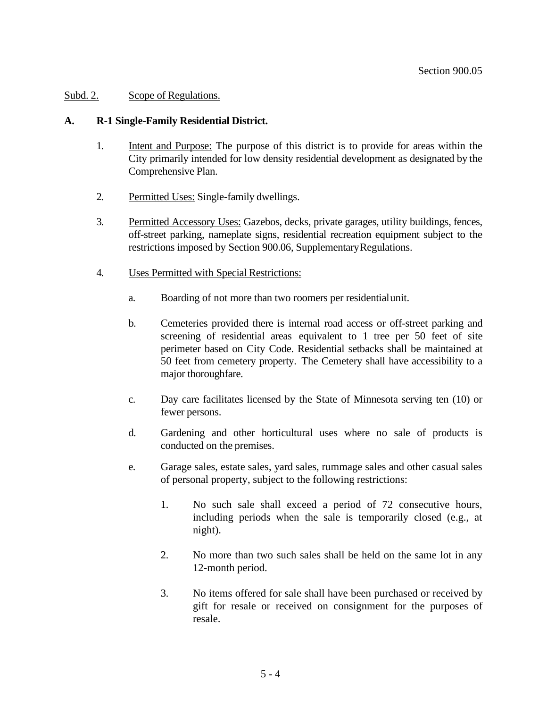# Subd. 2. Scope of Regulations.

## **A. R-1 Single-Family Residential District.**

- 1. Intent and Purpose: The purpose of this district is to provide for areas within the City primarily intended for low density residential development as designated by the Comprehensive Plan.
- 2. Permitted Uses: Single-family dwellings.
- 3. Permitted Accessory Uses: Gazebos, decks, private garages, utility buildings, fences, off-street parking, nameplate signs, residential recreation equipment subject to the restrictions imposed by Section 900.06, Supplementary Regulations.
- 4. Uses Permitted with Special Restrictions:
	- a. Boarding of not more than two roomers per residentialunit.
	- b. Cemeteries provided there is internal road access or off-street parking and screening of residential areas equivalent to 1 tree per 50 feet of site perimeter based on City Code. Residential setbacks shall be maintained at 50 feet from cemetery property. The Cemetery shall have accessibility to a major thoroughfare.
	- c. Day care facilitates licensed by the State of Minnesota serving ten (10) or fewer persons.
	- d. Gardening and other horticultural uses where no sale of products is conducted on the premises.
	- e. Garage sales, estate sales, yard sales, rummage sales and other casual sales of personal property, subject to the following restrictions:
		- 1. No such sale shall exceed a period of 72 consecutive hours, including periods when the sale is temporarily closed (e.g., at night).
		- 2. No more than two such sales shall be held on the same lot in any 12-month period.
		- 3. No items offered for sale shall have been purchased or received by gift for resale or received on consignment for the purposes of resale.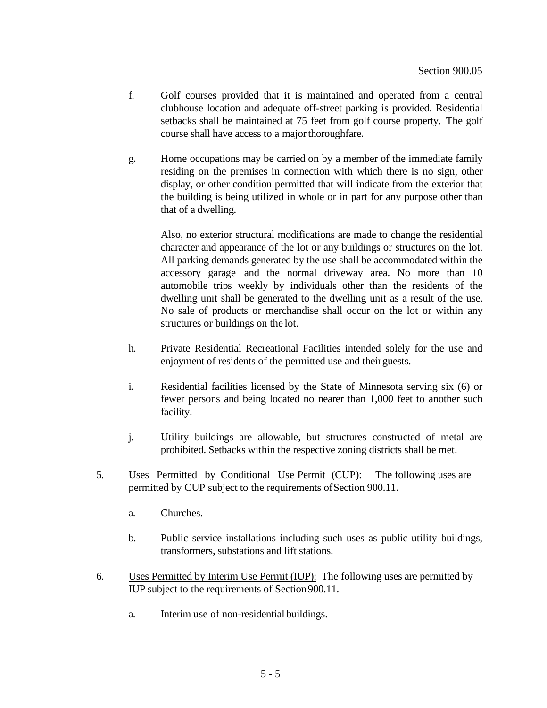- f. Golf courses provided that it is maintained and operated from a central clubhouse location and adequate off-street parking is provided. Residential setbacks shall be maintained at 75 feet from golf course property. The golf course shall have access to a major thoroughfare.
- g. Home occupations may be carried on by a member of the immediate family residing on the premises in connection with which there is no sign, other display, or other condition permitted that will indicate from the exterior that the building is being utilized in whole or in part for any purpose other than that of a dwelling.

Also, no exterior structural modifications are made to change the residential character and appearance of the lot or any buildings or structures on the lot. All parking demands generated by the use shall be accommodated within the accessory garage and the normal driveway area. No more than 10 automobile trips weekly by individuals other than the residents of the dwelling unit shall be generated to the dwelling unit as a result of the use. No sale of products or merchandise shall occur on the lot or within any structures or buildings on the lot.

- h. Private Residential Recreational Facilities intended solely for the use and enjoyment of residents of the permitted use and theirguests.
- i. Residential facilities licensed by the State of Minnesota serving six (6) or fewer persons and being located no nearer than 1,000 feet to another such facility.
- j. Utility buildings are allowable, but structures constructed of metal are prohibited. Setbacks within the respective zoning districts shall be met.
- 5. Uses Permitted by Conditional Use Permit (CUP): The following uses are permitted by CUP subject to the requirements ofSection 900.11.
	- a. Churches.
	- b. Public service installations including such uses as public utility buildings, transformers, substations and lift stations.
- 6. Uses Permitted by Interim Use Permit (IUP): The following uses are permitted by IUP subject to the requirements of Section 900.11.
	- a. Interim use of non-residential buildings.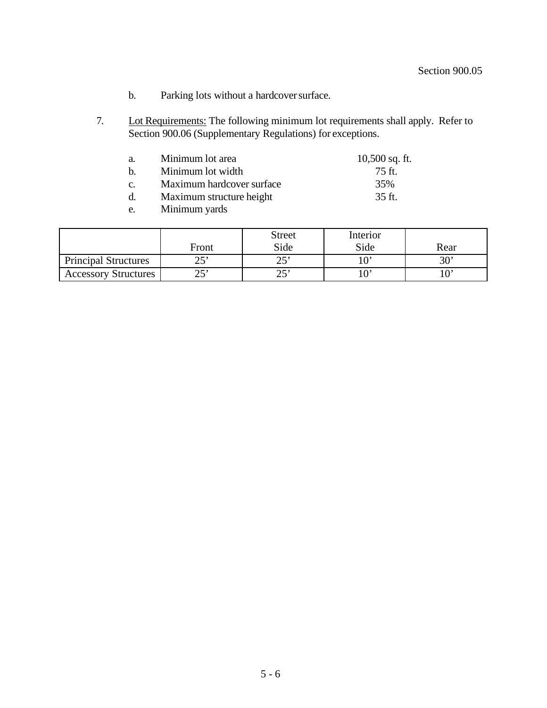- b. Parking lots without a hardcover surface.
- 7. Lot Requirements: The following minimum lot requirements shall apply. Refer to Section 900.06 (Supplementary Regulations) for exceptions.

| a.          | Minimum lot area          | $10,500$ sq. ft. |
|-------------|---------------------------|------------------|
| $h_{\cdot}$ | Minimum lot width         | $75$ ft.         |
| C.          | Maximum hardcover surface | 35%              |
| d.          | Maximum structure height  | 35 ft.           |
| e.          | Minimum yards             |                  |

|                             | Front | <b>Street</b><br>Side | Interior<br>Side | Rear         |
|-----------------------------|-------|-----------------------|------------------|--------------|
| <b>Principal Structures</b> | າ 5'  | າ ເ'                  |                  | $30^{\circ}$ |
| <b>Accessory Structures</b> | າ ະາ  | ົາ ເາ<br>سد           |                  |              |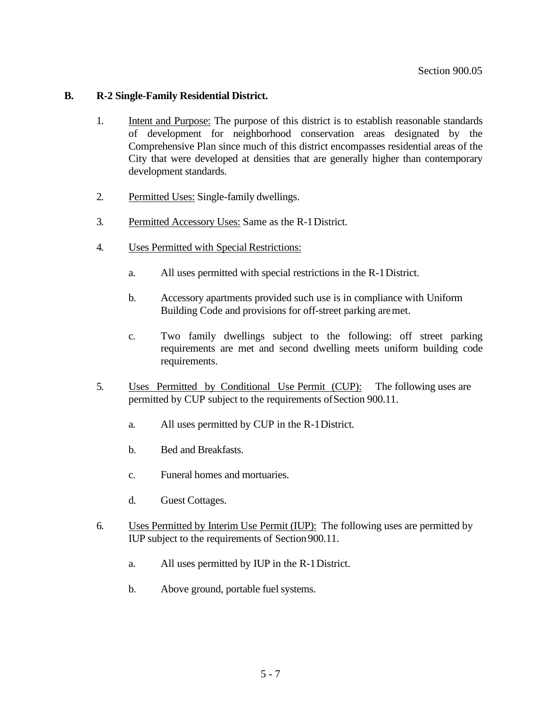## **B. R-2 Single-Family Residential District.**

- 1. Intent and Purpose: The purpose of this district is to establish reasonable standards of development for neighborhood conservation areas designated by the Comprehensive Plan since much of this district encompasses residential areas of the City that were developed at densities that are generally higher than contemporary development standards.
- 2. Permitted Uses: Single-family dwellings.
- 3. Permitted Accessory Uses: Same as the R-1District.
- 4. Uses Permitted with Special Restrictions:
	- a. All uses permitted with special restrictions in the R-1District.
	- b. Accessory apartments provided such use is in compliance with Uniform Building Code and provisions for off-street parking aremet.
	- c. Two family dwellings subject to the following: off street parking requirements are met and second dwelling meets uniform building code requirements.
- 5. Uses Permitted by Conditional Use Permit (CUP): The following uses are permitted by CUP subject to the requirements ofSection 900.11.
	- a. All uses permitted by CUP in the R-1District.
	- b. Bed and Breakfasts.
	- c. Funeral homes and mortuaries.
	- d. Guest Cottages.
- 6. Uses Permitted by Interim Use Permit (IUP): The following uses are permitted by IUP subject to the requirements of Section 900.11.
	- a. All uses permitted by IUP in the R-1District.
	- b. Above ground, portable fuel systems.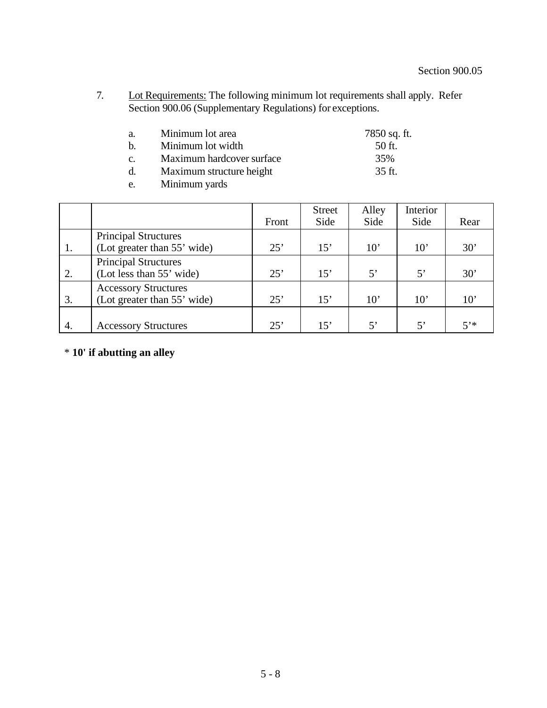7. Lot Requirements: The following minimum lot requirements shall apply. Refer Section 900.06 (Supplementary Regulations) for exceptions.

| a. | Minimum lot area          | 7850 sq. ft.     |
|----|---------------------------|------------------|
| h. | Minimum lot width         | $50$ ft.         |
| C. | Maximum hardcover surface | 35%              |
|    | Maximum structure height  | $35 \text{ ft.}$ |

e. Minimum yards

|    |                                                            | Front | <b>Street</b><br>Side | Alley<br>Side | Interior<br>Side | Rear         |
|----|------------------------------------------------------------|-------|-----------------------|---------------|------------------|--------------|
| 1. | <b>Principal Structures</b><br>(Lot greater than 55' wide) | 25'   | 15'                   | $10^{\circ}$  | $10^{\circ}$     | 30'          |
| 2. | <b>Principal Structures</b><br>(Lot less than 55' wide)    | 25'   | 15'                   | 5'            | $5^{\circ}$      | 30'          |
| 3. | <b>Accessory Structures</b><br>(Lot greater than 55' wide) | 25'   | 15'                   | $10^{\circ}$  | 10'              | $10^{\circ}$ |
| 4. | <b>Accessory Structures</b>                                | 25'   | 15'                   | $5^{\circ}$   | 5'               | $5'$ *       |

# \* **10' if abutting an alley**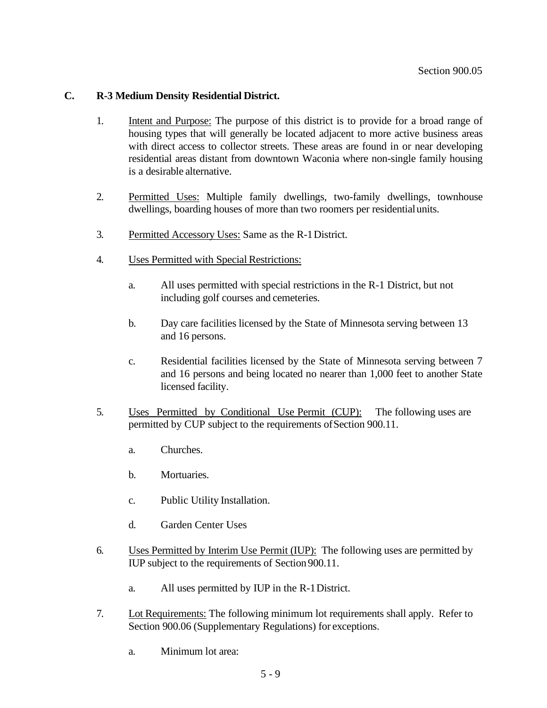## **C. R-3 Medium Density Residential District.**

- 1. Intent and Purpose: The purpose of this district is to provide for a broad range of housing types that will generally be located adjacent to more active business areas with direct access to collector streets. These areas are found in or near developing residential areas distant from downtown Waconia where non-single family housing is a desirable alternative.
- 2. Permitted Uses: Multiple family dwellings, two-family dwellings, townhouse dwellings, boarding houses of more than two roomers per residentialunits.
- 3. Permitted Accessory Uses: Same as the R-1District.
- 4. Uses Permitted with Special Restrictions:
	- a. All uses permitted with special restrictions in the R-1 District, but not including golf courses and cemeteries.
	- b. Day care facilities licensed by the State of Minnesota serving between 13 and 16 persons.
	- c. Residential facilities licensed by the State of Minnesota serving between 7 and 16 persons and being located no nearer than 1,000 feet to another State licensed facility.
- 5. Uses Permitted by Conditional Use Permit (CUP): The following uses are permitted by CUP subject to the requirements ofSection 900.11.
	- a. Churches.
	- b. Mortuaries.
	- c. Public Utility Installation.
	- d. Garden Center Uses
- 6. Uses Permitted by Interim Use Permit (IUP): The following uses are permitted by IUP subject to the requirements of Section 900.11.
	- a. All uses permitted by IUP in the R-1District.
- 7. Lot Requirements: The following minimum lot requirements shall apply. Refer to Section 900.06 (Supplementary Regulations) for exceptions.
	- a. Minimum lot area: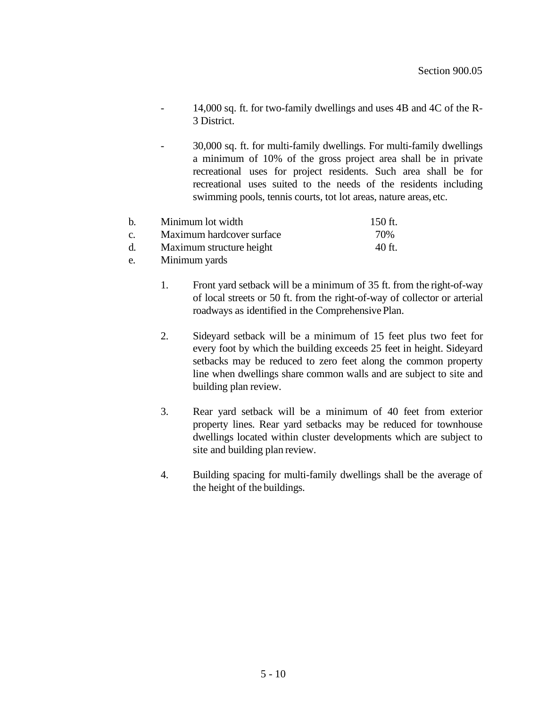- 14,000 sq. ft. for two-family dwellings and uses 4B and 4C of the R-3 District.
- 30,000 sq. ft. for multi-family dwellings. For multi-family dwellings a minimum of 10% of the gross project area shall be in private recreational uses for project residents. Such area shall be for recreational uses suited to the needs of the residents including swimming pools, tennis courts, tot lot areas, nature areas, etc.

| h           | Minimum lot width         | 150 ft. |
|-------------|---------------------------|---------|
| $C_{\cdot}$ | Maximum hardcover surface | 70%     |
| d.          | Maximum structure height  | 40 ft.  |

- e. Minimum yards
	- 1. Front yard setback will be a minimum of 35 ft. from the right-of-way of local streets or 50 ft. from the right-of-way of collector or arterial roadways as identified in the Comprehensive Plan.
	- 2. Sideyard setback will be a minimum of 15 feet plus two feet for every foot by which the building exceeds 25 feet in height. Sideyard setbacks may be reduced to zero feet along the common property line when dwellings share common walls and are subject to site and building plan review.
	- 3. Rear yard setback will be a minimum of 40 feet from exterior property lines. Rear yard setbacks may be reduced for townhouse dwellings located within cluster developments which are subject to site and building plan review.
	- 4. Building spacing for multi-family dwellings shall be the average of the height of the buildings.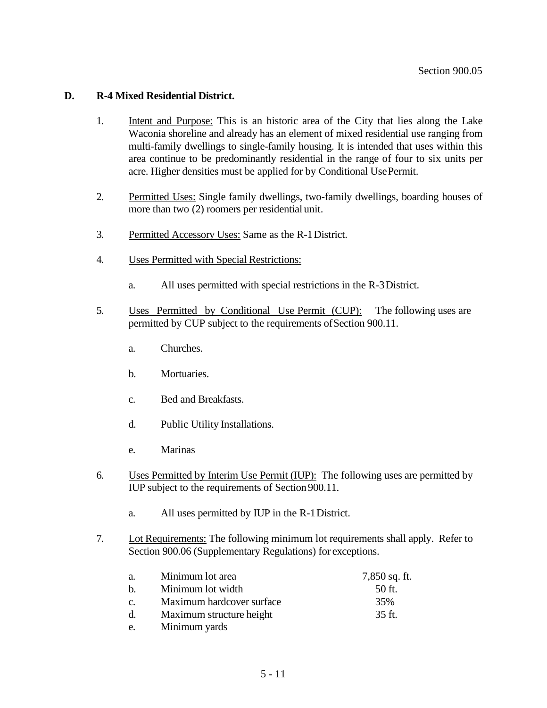## **D. R-4 Mixed Residential District.**

- 1. Intent and Purpose: This is an historic area of the City that lies along the Lake Waconia shoreline and already has an element of mixed residential use ranging from multi-family dwellings to single-family housing. It is intended that uses within this area continue to be predominantly residential in the range of four to six units per acre. Higher densities must be applied for by Conditional UsePermit.
- 2. Permitted Uses: Single family dwellings, two-family dwellings, boarding houses of more than two (2) roomers per residential unit.
- 3. Permitted Accessory Uses: Same as the R-1District.
- 4. Uses Permitted with Special Restrictions:
	- a. All uses permitted with special restrictions in the R-3District.
- 5. Uses Permitted by Conditional Use Permit (CUP): The following uses are permitted by CUP subject to the requirements ofSection 900.11.
	- a. Churches.
	- b. Mortuaries.
	- c. Bed and Breakfasts.
	- d. Public Utility Installations.
	- e. Marinas
- 6. Uses Permitted by Interim Use Permit (IUP): The following uses are permitted by IUP subject to the requirements of Section 900.11.
	- a. All uses permitted by IUP in the R-1District.
- 7. Lot Requirements: The following minimum lot requirements shall apply. Refer to Section 900.06 (Supplementary Regulations) for exceptions.

| a.          | Minimum lot area          | $7,850$ sq. ft. |
|-------------|---------------------------|-----------------|
| $h_{\cdot}$ | Minimum lot width         | $50$ ft.        |
| C.          | Maximum hardcover surface | 35%             |
| d.          | Maximum structure height  | 35 ft.          |
| e.          | Minimum yards             |                 |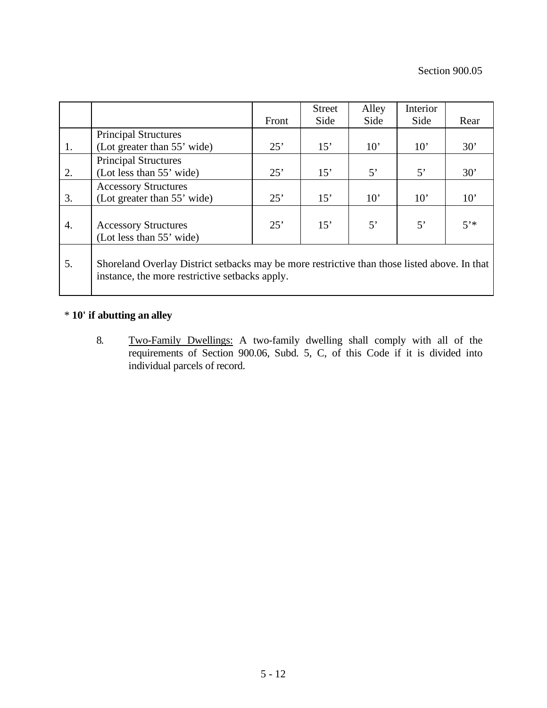|    |                                                                                                                                                | Front | <b>Street</b><br>Side | Alley<br>Side | Interior<br>Side | Rear         |
|----|------------------------------------------------------------------------------------------------------------------------------------------------|-------|-----------------------|---------------|------------------|--------------|
|    | <b>Principal Structures</b>                                                                                                                    |       |                       |               |                  |              |
| 1. | (Lot greater than 55' wide)                                                                                                                    | 25'   | 15'                   | $10^{\circ}$  | $10^{\circ}$     | 30'          |
| 2. | <b>Principal Structures</b><br>(Lot less than 55' wide)                                                                                        | 25'   | 15'                   | $5^{\circ}$   | 5'               | $30^{\circ}$ |
| 3. | <b>Accessory Structures</b><br>(Lot greater than 55' wide)                                                                                     | 25'   | 15'                   | $10^{\circ}$  | $10^{\circ}$     | $10^{\circ}$ |
| 4. | <b>Accessory Structures</b><br>(Lot less than 55' wide)                                                                                        | 25'   | 15'                   | $5^{\circ}$   | 5'               | $5'$ *       |
| 5. | Shoreland Overlay District setbacks may be more restrictive than those listed above. In that<br>instance, the more restrictive setbacks apply. |       |                       |               |                  |              |

# \* **10' if abutting an alley**

8. Two-Family Dwellings: A two-family dwelling shall comply with all of the requirements of Section 900.06, Subd. 5, C, of this Code if it is divided into individual parcels of record.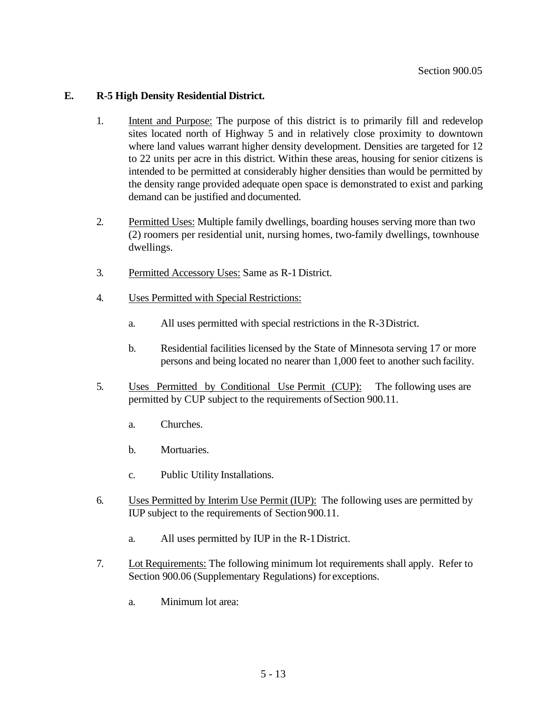## **E. R-5 High Density Residential District.**

- 1. Intent and Purpose: The purpose of this district is to primarily fill and redevelop sites located north of Highway 5 and in relatively close proximity to downtown where land values warrant higher density development. Densities are targeted for 12 to 22 units per acre in this district. Within these areas, housing for senior citizens is intended to be permitted at considerably higher densities than would be permitted by the density range provided adequate open space is demonstrated to exist and parking demand can be justified and documented.
- 2. Permitted Uses: Multiple family dwellings, boarding houses serving more than two (2) roomers per residential unit, nursing homes, two-family dwellings, townhouse dwellings.
- 3. Permitted Accessory Uses: Same as R-1District.
- 4. Uses Permitted with Special Restrictions:
	- a. All uses permitted with special restrictions in the R-3District.
	- b. Residential facilities licensed by the State of Minnesota serving 17 or more persons and being located no nearer than 1,000 feet to another such facility.
- 5. Uses Permitted by Conditional Use Permit (CUP): The following uses are permitted by CUP subject to the requirements ofSection 900.11.
	- a. Churches.
	- b. Mortuaries.
	- c. Public Utility Installations.
- 6. Uses Permitted by Interim Use Permit (IUP): The following uses are permitted by IUP subject to the requirements of Section 900.11.
	- a. All uses permitted by IUP in the R-1District.
- 7. Lot Requirements: The following minimum lot requirements shall apply. Refer to Section 900.06 (Supplementary Regulations) for exceptions.
	- a. Minimum lot area: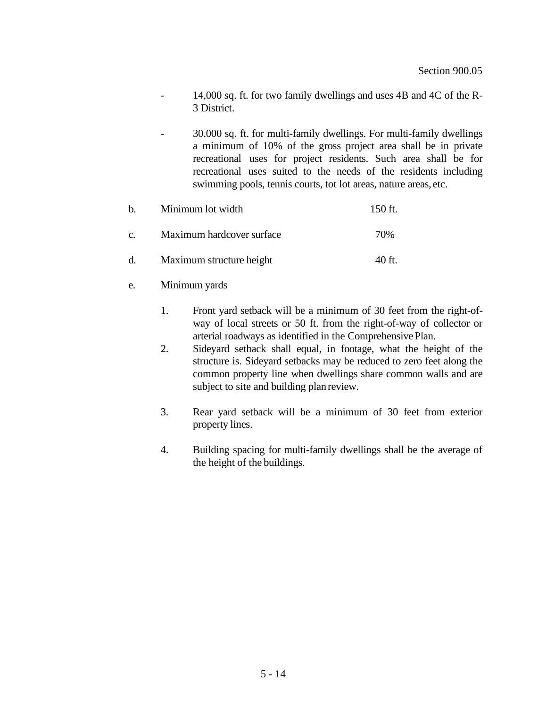- 14,000 sq. ft. for two family dwellings and uses 4B and 4C of the R-3 District.
- 30,000 sq. ft. for multi-family dwellings. For multi-family dwellings a minimum of 10% of the gross project area shall be in private recreational uses for project residents. Such area shall be for recreational uses suited to the needs of the residents including swimming pools, tennis courts, tot lot areas, nature areas, etc.

| $h_{\cdot}$ | Minimum lot width         | 150 ft. |
|-------------|---------------------------|---------|
| $C_{\star}$ | Maximum hardcover surface | 70%     |
| d.          | Maximum structure height  | 40 ft.  |

- e. Minimum yards
	- 1. Front yard setback will be a minimum of 30 feet from the right-ofway of local streets or 50 ft. from the right-of-way of collector or arterial roadways as identified in the ComprehensivePlan.
	- 2. Sideyard setback shall equal, in footage, what the height of the structure is. Sideyard setbacks may be reduced to zero feet along the common property line when dwellings share common walls and are subject to site and building plan review.
	- 3. Rear yard setback will be a minimum of 30 feet from exterior property lines.
	- 4. Building spacing for multi-family dwellings shall be the average of the height of the buildings.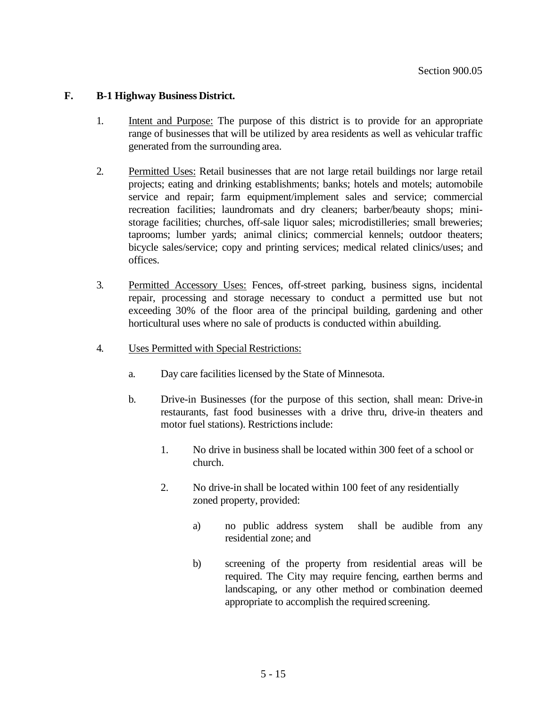## **F. B-1 Highway Business District.**

- 1. Intent and Purpose: The purpose of this district is to provide for an appropriate range of businesses that will be utilized by area residents as well as vehicular traffic generated from the surrounding area.
- 2. Permitted Uses: Retail businesses that are not large retail buildings nor large retail projects; eating and drinking establishments; banks; hotels and motels; automobile service and repair; farm equipment/implement sales and service; commercial recreation facilities; laundromats and dry cleaners; barber/beauty shops; ministorage facilities; churches, off-sale liquor sales; microdistilleries; small breweries; taprooms; lumber yards; animal clinics; commercial kennels; outdoor theaters; bicycle sales/service; copy and printing services; medical related clinics/uses; and offices.
- 3. Permitted Accessory Uses: Fences, off-street parking, business signs, incidental repair, processing and storage necessary to conduct a permitted use but not exceeding 30% of the floor area of the principal building, gardening and other horticultural uses where no sale of products is conducted within abuilding.
- 4. Uses Permitted with Special Restrictions:
	- a. Day care facilities licensed by the State of Minnesota.
	- b. Drive-in Businesses (for the purpose of this section, shall mean: Drive-in restaurants, fast food businesses with a drive thru, drive-in theaters and motor fuel stations). Restrictions include:
		- 1. No drive in business shall be located within 300 feet of a school or church.
		- 2. No drive-in shall be located within 100 feet of any residentially zoned property, provided:
			- a) no public address system shall be audible from any residential zone; and
			- b) screening of the property from residential areas will be required. The City may require fencing, earthen berms and landscaping, or any other method or combination deemed appropriate to accomplish the required screening.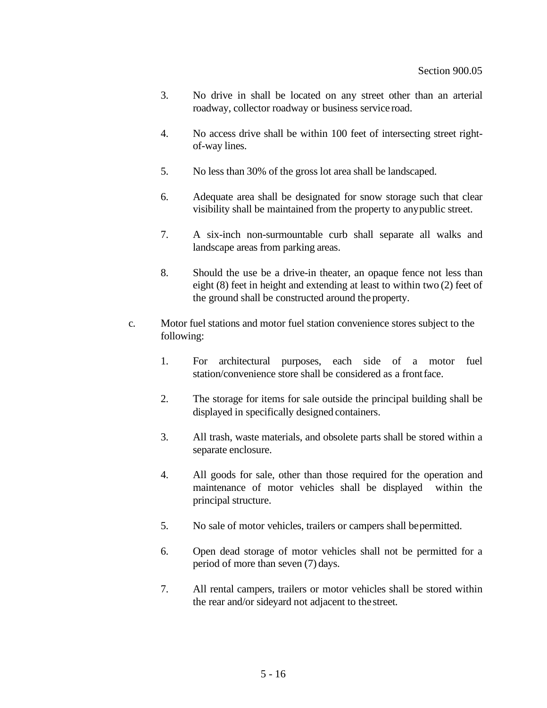- 3. No drive in shall be located on any street other than an arterial roadway, collector roadway or business service road.
- 4. No access drive shall be within 100 feet of intersecting street rightof-way lines.
- 5. No less than 30% of the gross lot area shall be landscaped.
- 6. Adequate area shall be designated for snow storage such that clear visibility shall be maintained from the property to anypublic street.
- 7. A six-inch non-surmountable curb shall separate all walks and landscape areas from parking areas.
- 8. Should the use be a drive-in theater, an opaque fence not less than eight (8) feet in height and extending at least to within two (2) feet of the ground shall be constructed around the property.
- c. Motor fuel stations and motor fuel station convenience stores subject to the following:
	- 1. For architectural purposes, each side of a motor fuel station/convenience store shall be considered as a frontface.
	- 2. The storage for items for sale outside the principal building shall be displayed in specifically designed containers.
	- 3. All trash, waste materials, and obsolete parts shall be stored within a separate enclosure.
	- 4. All goods for sale, other than those required for the operation and maintenance of motor vehicles shall be displayed within the principal structure.
	- 5. No sale of motor vehicles, trailers or campers shall bepermitted.
	- 6. Open dead storage of motor vehicles shall not be permitted for a period of more than seven (7) days.
	- 7. All rental campers, trailers or motor vehicles shall be stored within the rear and/or sideyard not adjacent to thestreet.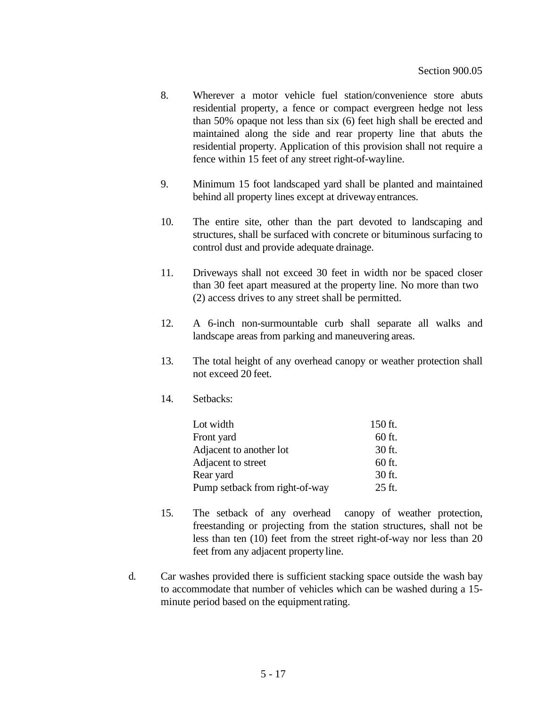- 8. Wherever a motor vehicle fuel station/convenience store abuts residential property, a fence or compact evergreen hedge not less than 50% opaque not less than six (6) feet high shall be erected and maintained along the side and rear property line that abuts the residential property. Application of this provision shall not require a fence within 15 feet of any street right-of-wayline.
- 9. Minimum 15 foot landscaped yard shall be planted and maintained behind all property lines except at drivewayentrances.
- 10. The entire site, other than the part devoted to landscaping and structures, shall be surfaced with concrete or bituminous surfacing to control dust and provide adequate drainage.
- 11. Driveways shall not exceed 30 feet in width nor be spaced closer than 30 feet apart measured at the property line. No more than two (2) access drives to any street shall be permitted.
- 12. A 6-inch non-surmountable curb shall separate all walks and landscape areas from parking and maneuvering areas.
- 13. The total height of any overhead canopy or weather protection shall not exceed 20 feet.
- 14. Setbacks:

| Lot width                      | 150 ft. |
|--------------------------------|---------|
| Front yard                     | 60 ft.  |
| Adjacent to another lot        | 30 ft.  |
| Adjacent to street             | 60 ft.  |
| Rear yard                      | 30 ft.  |
| Pump setback from right-of-way | 25 ft.  |

- 15. The setback of any overhead canopy of weather protection, freestanding or projecting from the station structures, shall not be less than ten (10) feet from the street right-of-way nor less than 20 feet from any adjacent property line.
- d. Car washes provided there is sufficient stacking space outside the wash bay to accommodate that number of vehicles which can be washed during a 15 minute period based on the equipment rating.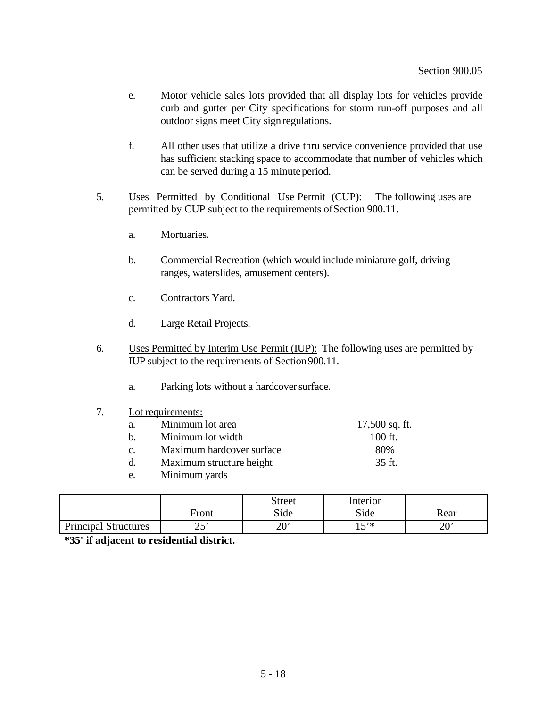- e. Motor vehicle sales lots provided that all display lots for vehicles provide curb and gutter per City specifications for storm run-off purposes and all outdoor signs meet City sign regulations.
- f. All other uses that utilize a drive thru service convenience provided that use has sufficient stacking space to accommodate that number of vehicles which can be served during a 15 minuteperiod.
- 5. Uses Permitted by Conditional Use Permit (CUP): The following uses are permitted by CUP subject to the requirements ofSection 900.11.
	- a. Mortuaries.
	- b. Commercial Recreation (which would include miniature golf, driving ranges, waterslides, amusement centers).
	- c. Contractors Yard.
	- d. Large Retail Projects.
- 6. Uses Permitted by Interim Use Permit (IUP): The following uses are permitted by IUP subject to the requirements of Section 900.11.
	- a. Parking lots without a hardcoversurface.
- 7. Lot requirements:

| a. | Minimum lot area          | $17,500$ sq. ft. |
|----|---------------------------|------------------|
| h  | Minimum lot width         | $100$ ft.        |
| C. | Maximum hardcover surface | 80%              |
| d. | Maximum structure height  | 35 ft.           |
| e. | Minimum yards             |                  |

|                             | Front      | <b>Street</b><br>Side | Interior<br>Side | Rear |
|-----------------------------|------------|-----------------------|------------------|------|
| <b>Principal Structures</b> | າ ເາ<br>رے | ົາທາ<br>∠∪            | $5*$<br>∸        | 20'  |

**\*35' if adjacent to residential district.**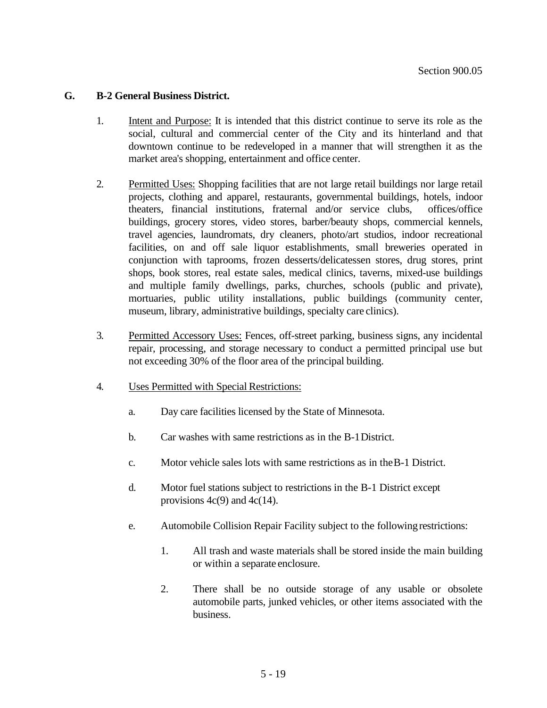#### **G. B-2 General Business District.**

- 1. Intent and Purpose: It is intended that this district continue to serve its role as the social, cultural and commercial center of the City and its hinterland and that downtown continue to be redeveloped in a manner that will strengthen it as the market area's shopping, entertainment and office center.
- 2. Permitted Uses: Shopping facilities that are not large retail buildings nor large retail projects, clothing and apparel, restaurants, governmental buildings, hotels, indoor theaters, financial institutions, fraternal and/or service clubs, offices/office buildings, grocery stores, video stores, barber/beauty shops, commercial kennels, travel agencies, laundromats, dry cleaners, photo/art studios, indoor recreational facilities, on and off sale liquor establishments, small breweries operated in conjunction with taprooms, frozen desserts/delicatessen stores, drug stores, print shops, book stores, real estate sales, medical clinics, taverns, mixed-use buildings and multiple family dwellings, parks, churches, schools (public and private), mortuaries, public utility installations, public buildings (community center, museum, library, administrative buildings, specialty care clinics).
- 3. Permitted Accessory Uses: Fences, off-street parking, business signs, any incidental repair, processing, and storage necessary to conduct a permitted principal use but not exceeding 30% of the floor area of the principal building.
- 4. Uses Permitted with Special Restrictions:
	- a. Day care facilities licensed by the State of Minnesota.
	- b. Car washes with same restrictions as in the B-1District.
	- c. Motor vehicle sales lots with same restrictions as in theB-1 District.
	- d. Motor fuel stations subject to restrictions in the B-1 District except provisions  $4c(9)$  and  $4c(14)$ .
	- e. Automobile Collision Repair Facility subject to the followingrestrictions:
		- 1. All trash and waste materials shall be stored inside the main building or within a separate enclosure.
		- 2. There shall be no outside storage of any usable or obsolete automobile parts, junked vehicles, or other items associated with the business.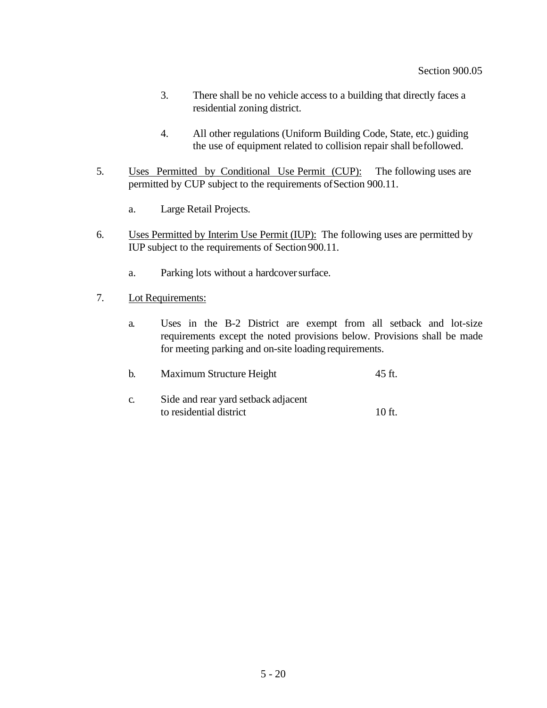- 3. There shall be no vehicle access to a building that directly faces a residential zoning district.
- 4. All other regulations (Uniform Building Code, State, etc.) guiding the use of equipment related to collision repair shall befollowed.
- 5. Uses Permitted by Conditional Use Permit (CUP): The following uses are permitted by CUP subject to the requirements ofSection 900.11.
	- a. Large Retail Projects.
- 6. Uses Permitted by Interim Use Permit (IUP): The following uses are permitted by IUP subject to the requirements of Section 900.11.
	- a. Parking lots without a hardcover surface.
- 7. Lot Requirements:
	- a. Uses in the B-2 District are exempt from all setback and lot-size requirements except the noted provisions below. Provisions shall be made for meeting parking and on-site loading requirements.

| h. | Maximum Structure Height            | 45 ft.   |
|----|-------------------------------------|----------|
| C. | Side and rear yard setback adjacent |          |
|    | to residential district             | $10$ ft. |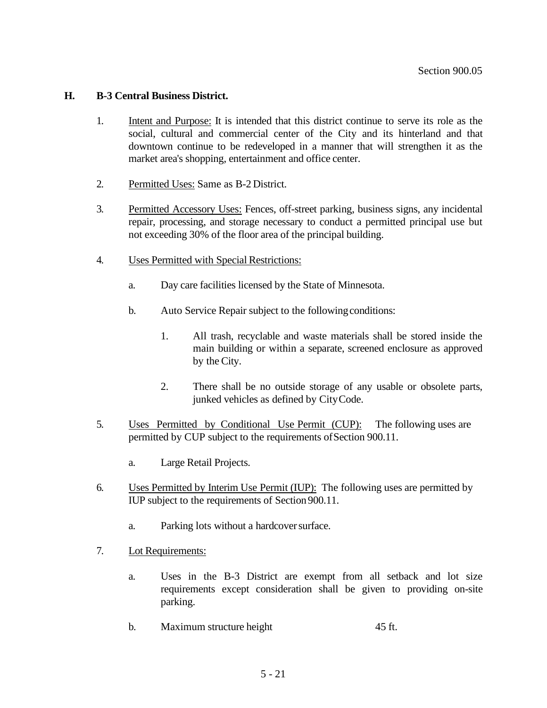#### **H. B-3 Central Business District.**

- 1. Intent and Purpose: It is intended that this district continue to serve its role as the social, cultural and commercial center of the City and its hinterland and that downtown continue to be redeveloped in a manner that will strengthen it as the market area's shopping, entertainment and office center.
- 2. Permitted Uses: Same as B-2 District.
- 3. Permitted Accessory Uses: Fences, off-street parking, business signs, any incidental repair, processing, and storage necessary to conduct a permitted principal use but not exceeding 30% of the floor area of the principal building.
- 4. Uses Permitted with Special Restrictions:
	- a. Day care facilities licensed by the State of Minnesota.
	- b. Auto Service Repair subject to the following conditions:
		- 1. All trash, recyclable and waste materials shall be stored inside the main building or within a separate, screened enclosure as approved by the City.
		- 2. There shall be no outside storage of any usable or obsolete parts, junked vehicles as defined by CityCode.
- 5. Uses Permitted by Conditional Use Permit (CUP): The following uses are permitted by CUP subject to the requirements ofSection 900.11.
	- a. Large Retail Projects.
- 6. Uses Permitted by Interim Use Permit (IUP): The following uses are permitted by IUP subject to the requirements of Section 900.11.
	- a. Parking lots without a hardcover surface.
- 7. Lot Requirements:
	- a. Uses in the B-3 District are exempt from all setback and lot size requirements except consideration shall be given to providing on-site parking.
	- b. Maximum structure height 45 ft.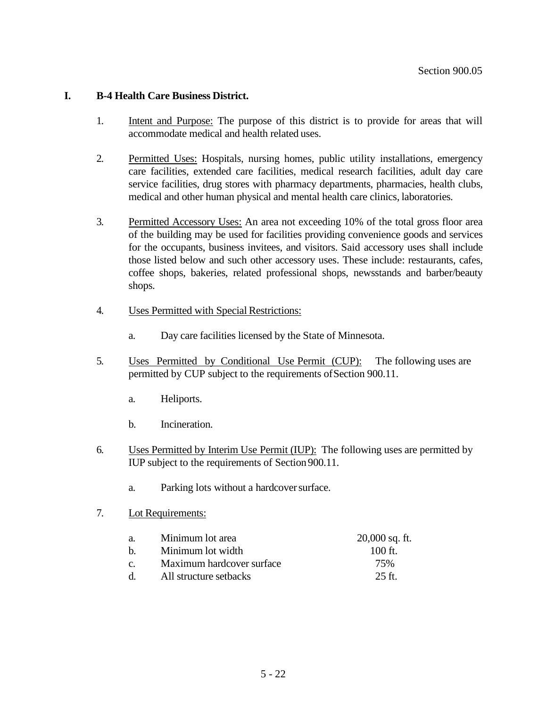## **I. B-4 Health Care Business District.**

- 1. Intent and Purpose: The purpose of this district is to provide for areas that will accommodate medical and health related uses.
- 2. Permitted Uses: Hospitals, nursing homes, public utility installations, emergency care facilities, extended care facilities, medical research facilities, adult day care service facilities, drug stores with pharmacy departments, pharmacies, health clubs, medical and other human physical and mental health care clinics, laboratories.
- 3. Permitted Accessory Uses: An area not exceeding 10% of the total gross floor area of the building may be used for facilities providing convenience goods and services for the occupants, business invitees, and visitors. Said accessory uses shall include those listed below and such other accessory uses. These include: restaurants, cafes, coffee shops, bakeries, related professional shops, newsstands and barber/beauty shops.
- 4. Uses Permitted with Special Restrictions:
	- a. Day care facilities licensed by the State of Minnesota.
- 5. Uses Permitted by Conditional Use Permit (CUP): The following uses are permitted by CUP subject to the requirements ofSection 900.11.
	- a. Heliports.
	- b. Incineration.
- 6. Uses Permitted by Interim Use Permit (IUP): The following uses are permitted by IUP subject to the requirements of Section 900.11.
	- a. Parking lots without a hardcoversurface.
- 7. Lot Requirements:

| a.              | Minimum lot area          | $20,000$ sq. ft. |
|-----------------|---------------------------|------------------|
| h               | Minimum lot width         | $100$ ft.        |
| $\mathcal{C}$ . | Maximum hardcover surface | 75%              |
| -d.             | All structure setbacks    | $25$ ft.         |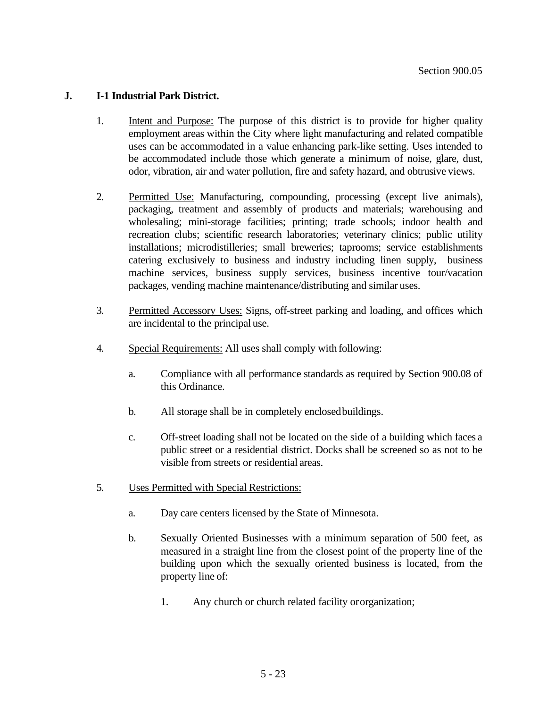## **J. I-1 Industrial Park District.**

- 1. Intent and Purpose: The purpose of this district is to provide for higher quality employment areas within the City where light manufacturing and related compatible uses can be accommodated in a value enhancing park-like setting. Uses intended to be accommodated include those which generate a minimum of noise, glare, dust, odor, vibration, air and water pollution, fire and safety hazard, and obtrusive views.
- 2. Permitted Use: Manufacturing, compounding, processing (except live animals), packaging, treatment and assembly of products and materials; warehousing and wholesaling; mini-storage facilities; printing; trade schools; indoor health and recreation clubs; scientific research laboratories; veterinary clinics; public utility installations; microdistilleries; small breweries; taprooms; service establishments catering exclusively to business and industry including linen supply, business machine services, business supply services, business incentive tour/vacation packages, vending machine maintenance/distributing and similar uses.
- 3. Permitted Accessory Uses: Signs, off-street parking and loading, and offices which are incidental to the principal use.
- 4. Special Requirements: All uses shall comply with following:
	- a. Compliance with all performance standards as required by Section 900.08 of this Ordinance.
	- b. All storage shall be in completely enclosedbuildings.
	- c. Off-street loading shall not be located on the side of a building which faces a public street or a residential district. Docks shall be screened so as not to be visible from streets or residential areas.
- 5. Uses Permitted with Special Restrictions:
	- a. Day care centers licensed by the State of Minnesota.
	- b. Sexually Oriented Businesses with a minimum separation of 500 feet, as measured in a straight line from the closest point of the property line of the building upon which the sexually oriented business is located, from the property line of:
		- 1. Any church or church related facility ororganization;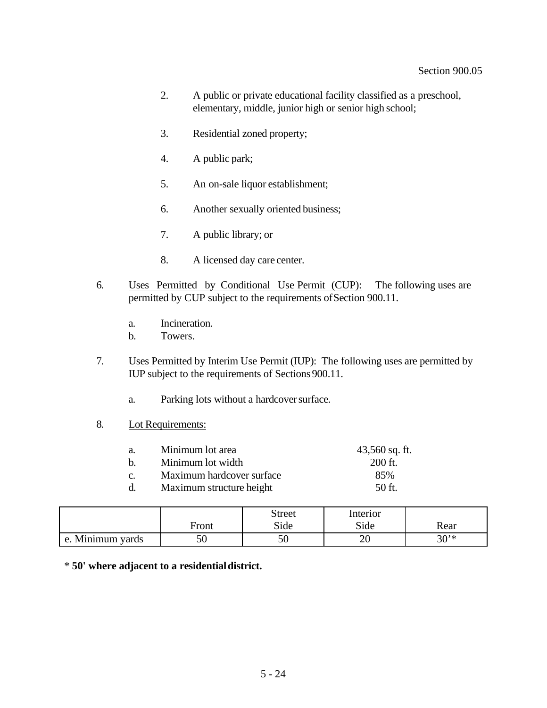- 2. A public or private educational facility classified as a preschool, elementary, middle, junior high or senior high school;
- 3. Residential zoned property;
- 4. A public park;
- 5. An on-sale liquor establishment;
- 6. Another sexually oriented business;
- 7. A public library; or
- 8. A licensed day care center.
- 6. Uses Permitted by Conditional Use Permit (CUP): The following uses are permitted by CUP subject to the requirements ofSection 900.11.
	- a. Incineration.
	- b. Towers.
- 7. Uses Permitted by Interim Use Permit (IUP): The following uses are permitted by IUP subject to the requirements of Sections 900.11.
	- a. Parking lots without a hardcover surface.
- 8. Lot Requirements:

| Minimum lot area<br>a.           | $43,560$ sq. ft. |
|----------------------------------|------------------|
| Minimum lot width<br>$h_{\cdot}$ | 200 ft.          |
| Maximum hardcover surface<br>C.  | 85%              |
| Maximum structure height<br>d.   | $50$ ft.         |

|                           | Front | <b>Street</b><br>Side | Interior<br>Side | Rear     |
|---------------------------|-------|-----------------------|------------------|----------|
| Minimum yards<br>$\Delta$ | 50    | υc                    | 20               | $30^{*}$ |

\* **50' where adjacent to a residentialdistrict.**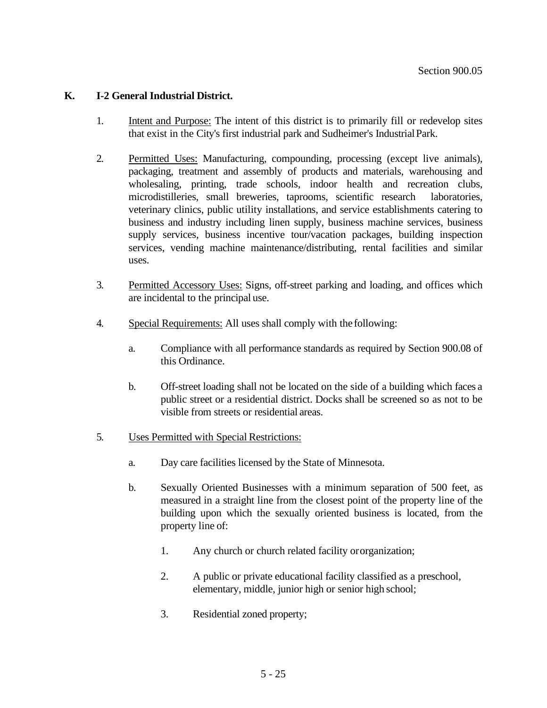## **K. I-2 General Industrial District.**

- 1. Intent and Purpose: The intent of this district is to primarily fill or redevelop sites that exist in the City's first industrial park and Sudheimer's IndustrialPark.
- 2. Permitted Uses: Manufacturing, compounding, processing (except live animals), packaging, treatment and assembly of products and materials, warehousing and wholesaling, printing, trade schools, indoor health and recreation clubs, microdistilleries, small breweries, taprooms, scientific research laboratories, veterinary clinics, public utility installations, and service establishments catering to business and industry including linen supply, business machine services, business supply services, business incentive tour/vacation packages, building inspection services, vending machine maintenance/distributing, rental facilities and similar uses.
- 3. Permitted Accessory Uses: Signs, off-street parking and loading, and offices which are incidental to the principal use.
- 4. Special Requirements: All uses shall comply with the following:
	- a. Compliance with all performance standards as required by Section 900.08 of this Ordinance.
	- b. Off-street loading shall not be located on the side of a building which faces a public street or a residential district. Docks shall be screened so as not to be visible from streets or residential areas.
- 5. Uses Permitted with Special Restrictions:
	- a. Day care facilities licensed by the State of Minnesota.
	- b. Sexually Oriented Businesses with a minimum separation of 500 feet, as measured in a straight line from the closest point of the property line of the building upon which the sexually oriented business is located, from the property line of:
		- 1. Any church or church related facility ororganization;
		- 2. A public or private educational facility classified as a preschool, elementary, middle, junior high or senior high school;
		- 3. Residential zoned property;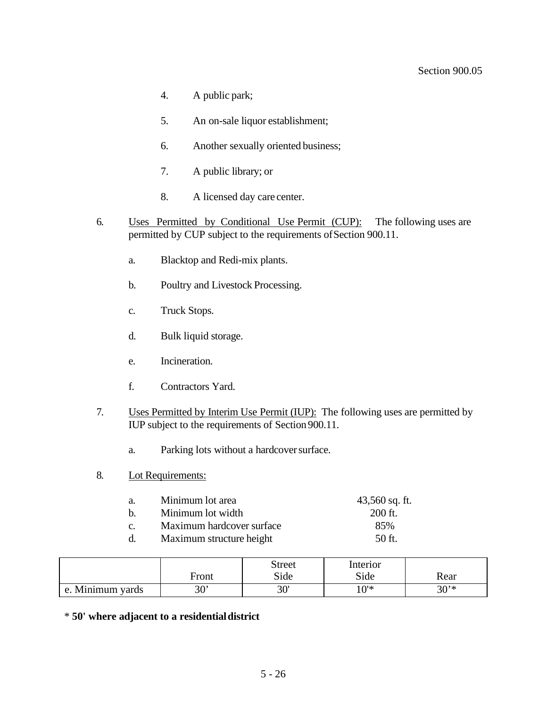#### Section 900.05

- 4. A public park;
- 5. An on-sale liquor establishment;
- 6. Another sexually oriented business;
- 7. A public library; or
- 8. A licensed day care center.
- 6. Uses Permitted by Conditional Use Permit (CUP): The following uses are permitted by CUP subject to the requirements ofSection 900.11.
	- a. Blacktop and Redi-mix plants.
	- b. Poultry and Livestock Processing.
	- c. Truck Stops.
	- d. Bulk liquid storage.
	- e. Incineration.
	- f. Contractors Yard.
- 7. Uses Permitted by Interim Use Permit (IUP): The following uses are permitted by IUP subject to the requirements of Section 900.11.
	- a. Parking lots without a hardcover surface.
- 8. Lot Requirements:

| a.          | Minimum lot area          | $43,560$ sq. ft. |
|-------------|---------------------------|------------------|
| $h_{\cdot}$ | Minimum lot width         | $200$ ft.        |
| $C_{\cdot}$ | Maximum hardcover surface | 85%              |
|             | Maximum structure height  | $50$ ft.         |

|                     | Front     | <b>Street</b><br>Side | Interior<br>Side | Rear   |
|---------------------|-----------|-----------------------|------------------|--------|
| Minimum yards<br>e. | 2۵,<br>σU | יחי<br>υc             | ∗י∩1             | $30**$ |

\* **50' where adjacent to a residentialdistrict**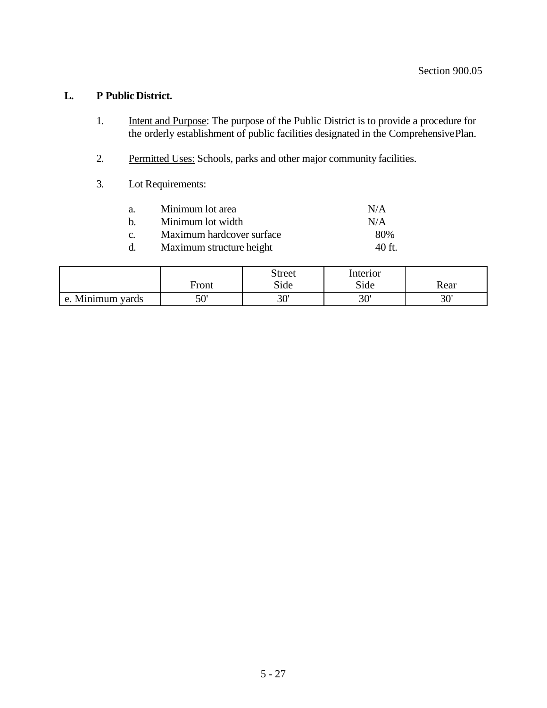# **L. P Public District.**

- 1. Intent and Purpose: The purpose of the Public District is to provide a procedure for the orderly establishment of public facilities designated in the ComprehensivePlan.
- 2. Permitted Uses: Schools, parks and other major community facilities.
- 3. Lot Requirements:

| Minimum lot area          | N/A      |
|---------------------------|----------|
| Minimum lot width         | N/A      |
| Maximum hardcover surface | 80%      |
| Maximum structure height  | $40$ ft. |
|                           |          |

|                           |                   | <b>Street</b> | Interior |           |
|---------------------------|-------------------|---------------|----------|-----------|
|                           | $F_{\text{ront}}$ | Side          | Side     | Rear      |
| Minimum yards<br>$\Delta$ | 50'               | יחר<br>υc     | 30'      | יחי<br>υc |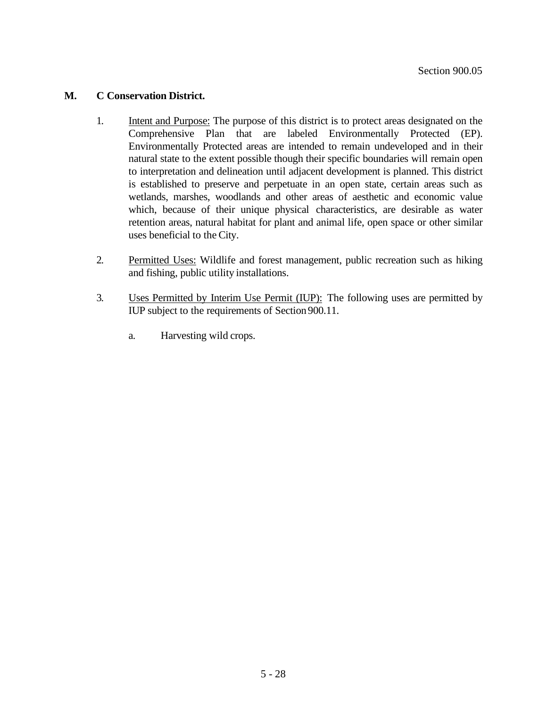## **M. C Conservation District.**

- 1. Intent and Purpose: The purpose of this district is to protect areas designated on the Comprehensive Plan that are labeled Environmentally Protected (EP). Environmentally Protected areas are intended to remain undeveloped and in their natural state to the extent possible though their specific boundaries will remain open to interpretation and delineation until adjacent development is planned. This district is established to preserve and perpetuate in an open state, certain areas such as wetlands, marshes, woodlands and other areas of aesthetic and economic value which, because of their unique physical characteristics, are desirable as water retention areas, natural habitat for plant and animal life, open space or other similar uses beneficial to the City.
- 2. Permitted Uses: Wildlife and forest management, public recreation such as hiking and fishing, public utility installations.
- 3. Uses Permitted by Interim Use Permit (IUP): The following uses are permitted by IUP subject to the requirements of Section 900.11.
	- a. Harvesting wild crops.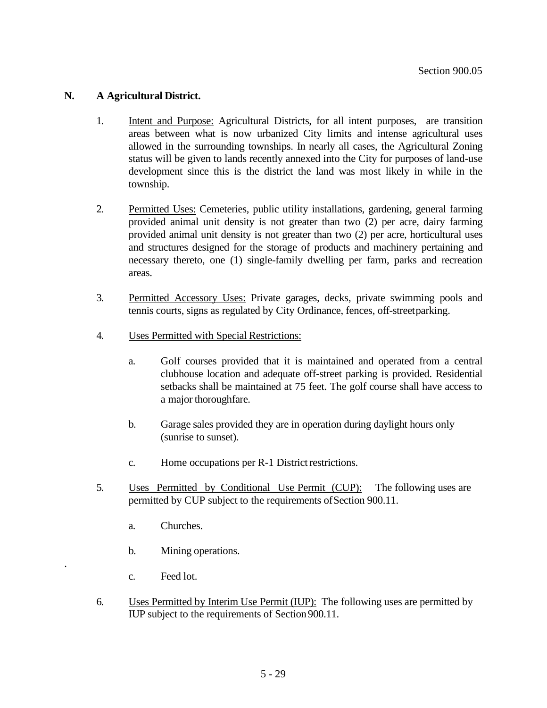## **N. A Agricultural District.**

- 1. Intent and Purpose: Agricultural Districts, for all intent purposes, are transition areas between what is now urbanized City limits and intense agricultural uses allowed in the surrounding townships. In nearly all cases, the Agricultural Zoning status will be given to lands recently annexed into the City for purposes of land-use development since this is the district the land was most likely in while in the township.
- 2. Permitted Uses: Cemeteries, public utility installations, gardening, general farming provided animal unit density is not greater than two (2) per acre, dairy farming provided animal unit density is not greater than two (2) per acre, horticultural uses and structures designed for the storage of products and machinery pertaining and necessary thereto, one (1) single-family dwelling per farm, parks and recreation areas.
- 3. Permitted Accessory Uses: Private garages, decks, private swimming pools and tennis courts, signs as regulated by City Ordinance, fences, off-streetparking.
- 4. Uses Permitted with Special Restrictions:
	- a. Golf courses provided that it is maintained and operated from a central clubhouse location and adequate off-street parking is provided. Residential setbacks shall be maintained at 75 feet. The golf course shall have access to a major thoroughfare.
	- b. Garage sales provided they are in operation during daylight hours only (sunrise to sunset).
	- c. Home occupations per R-1 District restrictions.
- 5. Uses Permitted by Conditional Use Permit (CUP): The following uses are permitted by CUP subject to the requirements ofSection 900.11.
	- a. Churches.
	- b. Mining operations.
	- c. Feed lot.

.

6. Uses Permitted by Interim Use Permit (IUP): The following uses are permitted by IUP subject to the requirements of Section 900.11.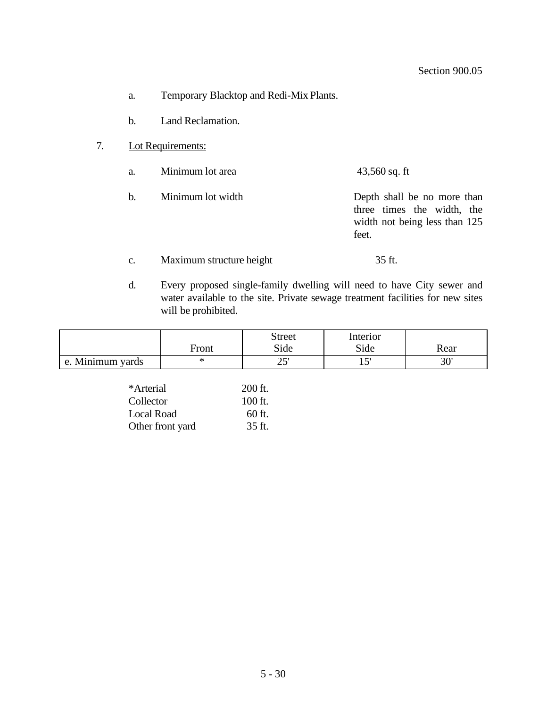- a. Temporary Blacktop and Redi-Mix Plants.
- b. Land Reclamation.
- 7. Lot Requirements:
	- a. Minimum lot area 43,560 sq. ft
	- b. Minimum lot width Depth shall be no more than three times the width, the width not being less than 125 feet.
	- c. Maximum structure height 35 ft.
	- d. Every proposed single-family dwelling will need to have City sewer and water available to the site. Private sewage treatment facilities for new sites will be prohibited.

|                             | Front | <b>Street</b><br>Side | Interior<br>Side | Rear |
|-----------------------------|-------|-----------------------|------------------|------|
| Minimum yards<br>$\epsilon$ |       | ີ້<br>ب ک             | ا س              | 20'  |

| *Arterial        | $200$ ft. |
|------------------|-----------|
| Collector        | $100$ ft. |
| Local Road       | 60 ft.    |
| Other front yard | $35$ ft.  |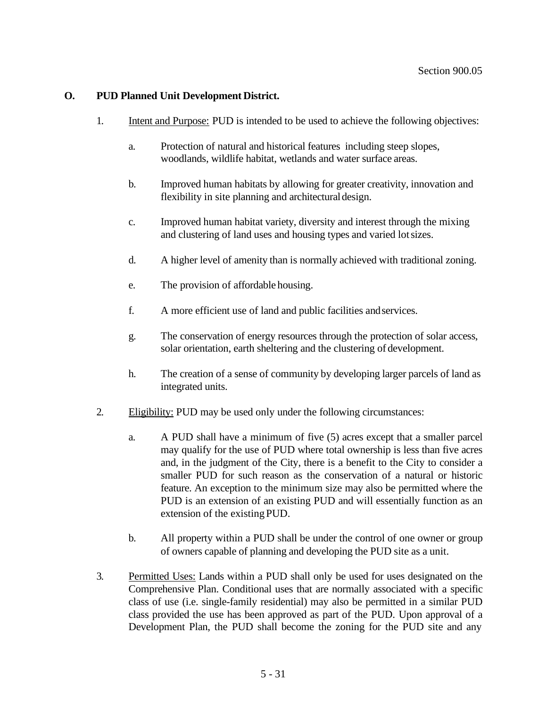# **O. PUD Planned Unit Development District.**

- 1. Intent and Purpose: PUD is intended to be used to achieve the following objectives:
	- a. Protection of natural and historical features including steep slopes, woodlands, wildlife habitat, wetlands and water surface areas.
	- b. Improved human habitats by allowing for greater creativity, innovation and flexibility in site planning and architectural design.
	- c. Improved human habitat variety, diversity and interest through the mixing and clustering of land uses and housing types and varied lotsizes.
	- d. A higher level of amenity than is normally achieved with traditional zoning.
	- e. The provision of affordable housing.
	- f. A more efficient use of land and public facilities andservices.
	- g. The conservation of energy resources through the protection of solar access, solar orientation, earth sheltering and the clustering of development.
	- h. The creation of a sense of community by developing larger parcels of land as integrated units.
- 2. Eligibility: PUD may be used only under the following circumstances:
	- a. A PUD shall have a minimum of five (5) acres except that a smaller parcel may qualify for the use of PUD where total ownership is less than five acres and, in the judgment of the City, there is a benefit to the City to consider a smaller PUD for such reason as the conservation of a natural or historic feature. An exception to the minimum size may also be permitted where the PUD is an extension of an existing PUD and will essentially function as an extension of the existing PUD.
	- b. All property within a PUD shall be under the control of one owner or group of owners capable of planning and developing the PUD site as a unit.
- 3. Permitted Uses: Lands within a PUD shall only be used for uses designated on the Comprehensive Plan. Conditional uses that are normally associated with a specific class of use (i.e. single-family residential) may also be permitted in a similar PUD class provided the use has been approved as part of the PUD. Upon approval of a Development Plan, the PUD shall become the zoning for the PUD site and any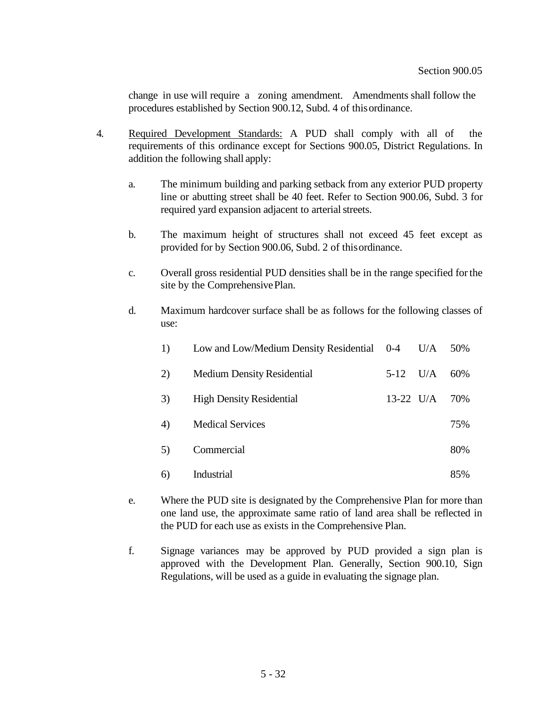change in use will require a zoning amendment. Amendments shall follow the procedures established by Section 900.12, Subd. 4 of thisordinance.

- 4. Required Development Standards: A PUD shall comply with all of the requirements of this ordinance except for Sections 900.05, District Regulations. In addition the following shall apply:
	- a. The minimum building and parking setback from any exterior PUD property line or abutting street shall be 40 feet. Refer to Section 900.06, Subd. 3 for required yard expansion adjacent to arterial streets.
	- b. The maximum height of structures shall not exceed 45 feet except as provided for by Section 900.06, Subd. 2 of thisordinance.
	- c. Overall gross residential PUD densities shall be in the range specified forthe site by the Comprehensive Plan.
	- d. Maximum hardcover surface shall be as follows for the following classes of use:

| 1) | Low and Low/Medium Density Residential 0-4 |             | U/A | 50% |
|----|--------------------------------------------|-------------|-----|-----|
| 2) | <b>Medium Density Residential</b>          | $5 - 12$    | U/A | 60% |
| 3) | <b>High Density Residential</b>            | $13-22$ U/A |     | 70% |
| 4) | <b>Medical Services</b>                    |             |     | 75% |
| 5) | Commercial                                 |             |     | 80% |
| 6) | Industrial                                 |             |     | 85% |

- e. Where the PUD site is designated by the Comprehensive Plan for more than one land use, the approximate same ratio of land area shall be reflected in the PUD for each use as exists in the Comprehensive Plan.
- f. Signage variances may be approved by PUD provided a sign plan is approved with the Development Plan. Generally, Section 900.10, Sign Regulations, will be used as a guide in evaluating the signage plan.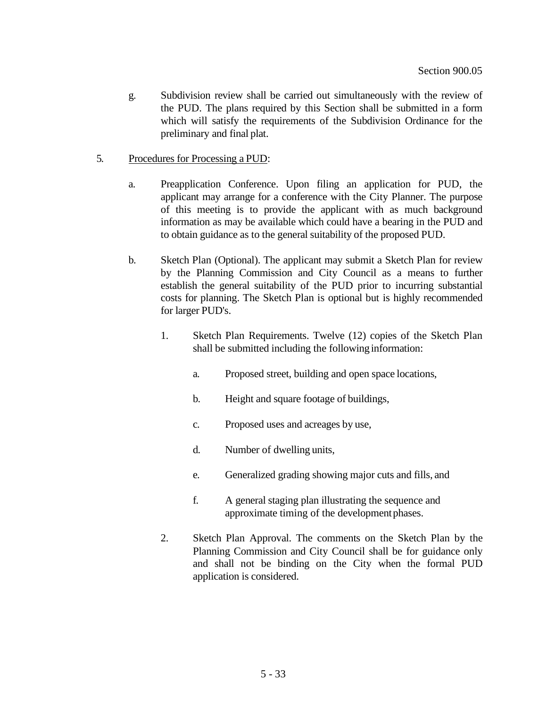- g. Subdivision review shall be carried out simultaneously with the review of the PUD. The plans required by this Section shall be submitted in a form which will satisfy the requirements of the Subdivision Ordinance for the preliminary and final plat.
- 5. Procedures for Processing a PUD:
	- a. Preapplication Conference. Upon filing an application for PUD, the applicant may arrange for a conference with the City Planner. The purpose of this meeting is to provide the applicant with as much background information as may be available which could have a bearing in the PUD and to obtain guidance as to the general suitability of the proposed PUD.
	- b. Sketch Plan (Optional). The applicant may submit a Sketch Plan for review by the Planning Commission and City Council as a means to further establish the general suitability of the PUD prior to incurring substantial costs for planning. The Sketch Plan is optional but is highly recommended for larger PUD's.
		- 1. Sketch Plan Requirements. Twelve (12) copies of the Sketch Plan shall be submitted including the followinginformation:
			- a. Proposed street, building and open space locations,
			- b. Height and square footage of buildings,
			- c. Proposed uses and acreages by use,
			- d. Number of dwelling units,
			- e. Generalized grading showing major cuts and fills, and
			- f. A general staging plan illustrating the sequence and approximate timing of the development phases.
		- 2. Sketch Plan Approval. The comments on the Sketch Plan by the Planning Commission and City Council shall be for guidance only and shall not be binding on the City when the formal PUD application is considered.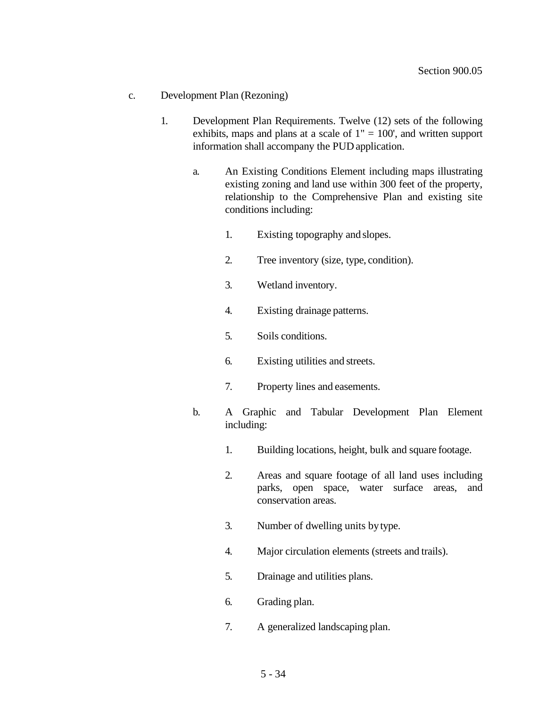- c. Development Plan (Rezoning)
	- 1. Development Plan Requirements. Twelve (12) sets of the following exhibits, maps and plans at a scale of  $1" = 100'$ , and written support information shall accompany the PUD application.
		- a. An Existing Conditions Element including maps illustrating existing zoning and land use within 300 feet of the property, relationship to the Comprehensive Plan and existing site conditions including:
			- 1. Existing topography and slopes.
			- 2. Tree inventory (size, type, condition).
			- 3. Wetland inventory.
			- 4. Existing drainage patterns.
			- 5. Soils conditions.
			- 6. Existing utilities and streets.
			- 7. Property lines and easements.
		- b. A Graphic and Tabular Development Plan Element including:
			- 1. Building locations, height, bulk and square footage.
			- 2. Areas and square footage of all land uses including parks, open space, water surface areas, and conservation areas.
			- 3. Number of dwelling units bytype.
			- 4. Major circulation elements (streets and trails).
			- 5. Drainage and utilities plans.
			- 6. Grading plan.
			- 7. A generalized landscaping plan.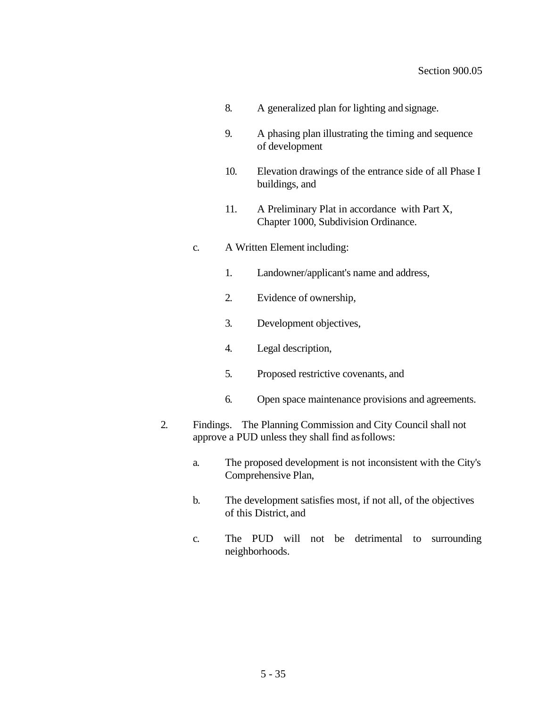- 8. A generalized plan for lighting and signage.
- 9. A phasing plan illustrating the timing and sequence of development
- 10. Elevation drawings of the entrance side of all Phase I buildings, and
- 11. A Preliminary Plat in accordance with Part X, Chapter 1000, Subdivision Ordinance.
- c. A Written Element including:
	- 1. Landowner/applicant's name and address,
	- 2. Evidence of ownership,
	- 3. Development objectives,
	- 4. Legal description,
	- 5. Proposed restrictive covenants, and
	- 6. Open space maintenance provisions and agreements.
- 2. Findings. The Planning Commission and City Council shall not approve a PUD unless they shall find asfollows:
	- a. The proposed development is not inconsistent with the City's Comprehensive Plan,
	- b. The development satisfies most, if not all, of the objectives of this District, and
	- c. The PUD will not be detrimental to surrounding neighborhoods.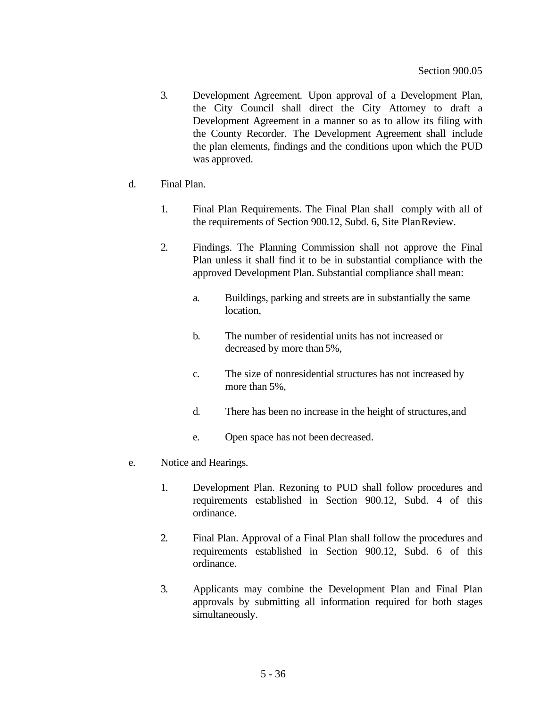- 3. Development Agreement. Upon approval of a Development Plan, the City Council shall direct the City Attorney to draft a Development Agreement in a manner so as to allow its filing with the County Recorder. The Development Agreement shall include the plan elements, findings and the conditions upon which the PUD was approved.
- d. Final Plan.
	- 1. Final Plan Requirements. The Final Plan shall comply with all of the requirements of Section 900.12, Subd. 6, Site PlanReview.
	- 2. Findings. The Planning Commission shall not approve the Final Plan unless it shall find it to be in substantial compliance with the approved Development Plan. Substantial compliance shall mean:
		- a. Buildings, parking and streets are in substantially the same location,
		- b. The number of residential units has not increased or decreased by more than 5%,
		- c. The size of nonresidential structures has not increased by more than 5%,
		- d. There has been no increase in the height of structures,and
		- e. Open space has not been decreased.
- e. Notice and Hearings.
	- 1. Development Plan. Rezoning to PUD shall follow procedures and requirements established in Section 900.12, Subd. 4 of this ordinance.
	- 2. Final Plan. Approval of a Final Plan shall follow the procedures and requirements established in Section 900.12, Subd. 6 of this ordinance.
	- 3. Applicants may combine the Development Plan and Final Plan approvals by submitting all information required for both stages simultaneously.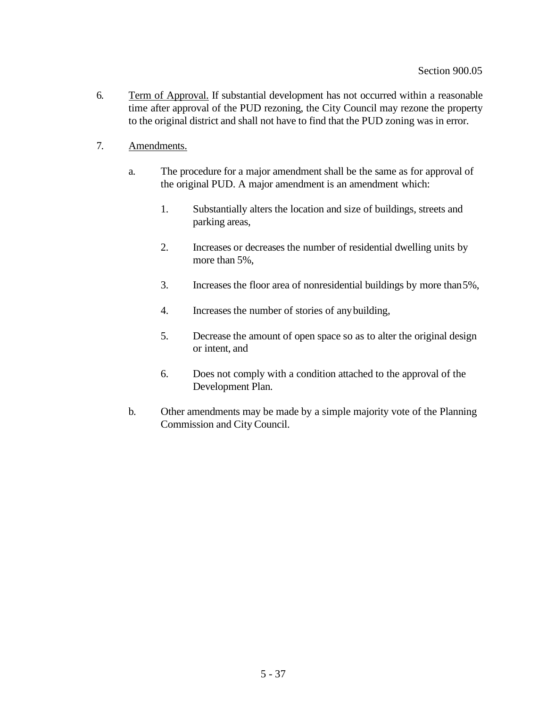- 6. Term of Approval. If substantial development has not occurred within a reasonable time after approval of the PUD rezoning, the City Council may rezone the property to the original district and shall not have to find that the PUD zoning was in error.
- 7. Amendments.
	- a. The procedure for a major amendment shall be the same as for approval of the original PUD. A major amendment is an amendment which:
		- 1. Substantially alters the location and size of buildings, streets and parking areas,
		- 2. Increases or decreases the number of residential dwelling units by more than 5%,
		- 3. Increases the floor area of nonresidential buildings by more than5%,
		- 4. Increases the number of stories of anybuilding,
		- 5. Decrease the amount of open space so as to alter the original design or intent, and
		- 6. Does not comply with a condition attached to the approval of the Development Plan.
	- b. Other amendments may be made by a simple majority vote of the Planning Commission and City Council.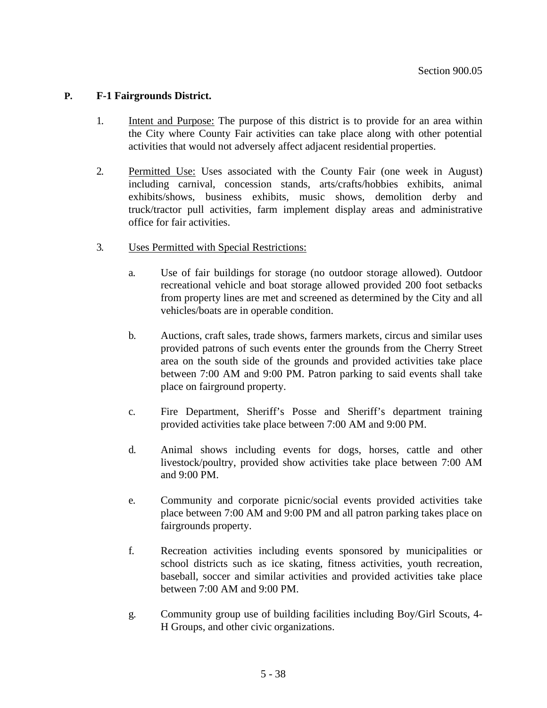## **P. F-1 Fairgrounds District.**

- 1. Intent and Purpose: The purpose of this district is to provide for an area within the City where County Fair activities can take place along with other potential activities that would not adversely affect adjacent residential properties.
- 2. Permitted Use: Uses associated with the County Fair (one week in August) including carnival, concession stands, arts/crafts/hobbies exhibits, animal exhibits/shows, business exhibits, music shows, demolition derby and truck/tractor pull activities, farm implement display areas and administrative office for fair activities.
- 3. Uses Permitted with Special Restrictions:
	- a. Use of fair buildings for storage (no outdoor storage allowed). Outdoor recreational vehicle and boat storage allowed provided 200 foot setbacks from property lines are met and screened as determined by the City and all vehicles/boats are in operable condition.
	- b. Auctions, craft sales, trade shows, farmers markets, circus and similar uses provided patrons of such events enter the grounds from the Cherry Street area on the south side of the grounds and provided activities take place between 7:00 AM and 9:00 PM. Patron parking to said events shall take place on fairground property.
	- c. Fire Department, Sheriff's Posse and Sheriff's department training provided activities take place between 7:00 AM and 9:00 PM.
	- d. Animal shows including events for dogs, horses, cattle and other livestock/poultry, provided show activities take place between 7:00 AM and 9:00 PM.
	- e. Community and corporate picnic/social events provided activities take place between 7:00 AM and 9:00 PM and all patron parking takes place on fairgrounds property.
	- f. Recreation activities including events sponsored by municipalities or school districts such as ice skating, fitness activities, youth recreation, baseball, soccer and similar activities and provided activities take place between 7:00 AM and 9:00 PM.
	- g. Community group use of building facilities including Boy/Girl Scouts, 4- H Groups, and other civic organizations.